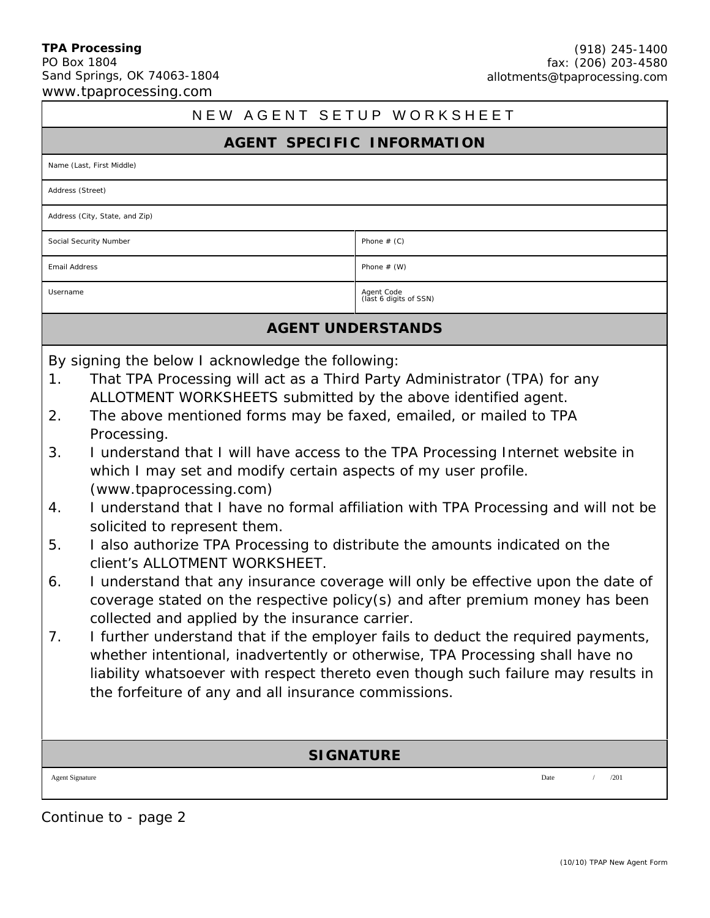#### **TPA Processing** PO Box 1804 Sand Springs, OK 74063-1804 www.tpaprocessing.com

# NEW AGENT SETUP WORKSHEET

#### **AGENT SPECIFIC INFORMATION**

Address (Street)

Address (City, State, and Zip)

Social Security Number **Phone # (C)** Phone # (C)

Email Address Phone # (W)

Username and the code of the code of the code of the code of the code of SSN) and the code of SSN and the code<br>
Username and the code of SSN and the code of SSN and the code of SSN and the code of SSN and the code of SSN a

### **AGENT UNDERSTANDS**

By signing the below I acknowledge the following:

- 1. That TPA Processing will act as a Third Party Administrator (TPA) for any ALLOTMENT WORKSHEETS submitted by the above identified agent.
- 2. The above mentioned forms may be faxed, emailed, or mailed to TPA Processing.
- 3. I understand that I will have access to the TPA Processing Internet website in which I may set and modify certain aspects of my user profile. (www.tpaprocessing.com)
- 4. I understand that I have no formal affiliation with TPA Processing and will not be solicited to represent them.
- 5. I also authorize TPA Processing to distribute the amounts indicated on the client's ALLOTMENT WORKSHEET.
- 6. I understand that any insurance coverage will only be effective upon the date of coverage stated on the respective policy(s) and after premium money has been collected and applied by the insurance carrier.
- 7. I further understand that if the employer fails to deduct the required payments, whether intentional, inadvertently or otherwise, TPA Processing shall have no liability whatsoever with respect thereto even though such failure may results in the forfeiture of any and all insurance commissions.

## **SIGNATURE**

Agent Signature Date / /201

Continue to - page 2